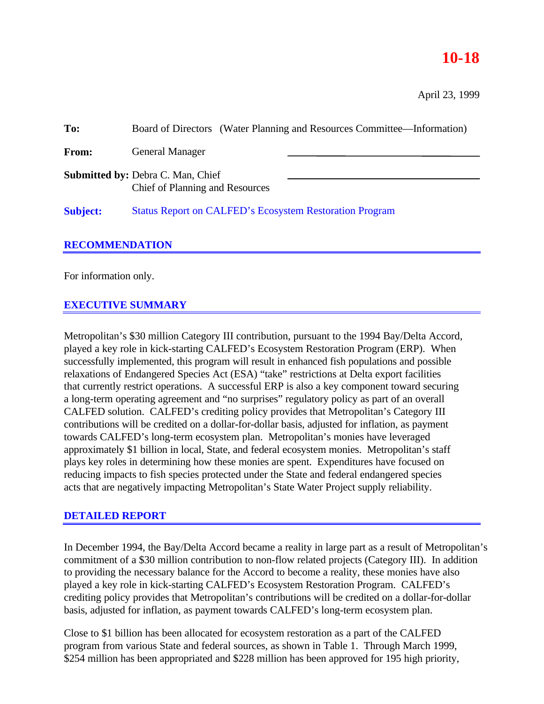## **10-18**

April 23, 1999

| To:                   | Board of Directors (Water Planning and Resources Committee—Information)            |  |
|-----------------------|------------------------------------------------------------------------------------|--|
| From:                 | <b>General Manager</b>                                                             |  |
|                       | <b>Submitted by: Debra C. Man, Chief</b><br><b>Chief of Planning and Resources</b> |  |
| <b>Subject:</b>       | <b>Status Report on CALFED's Ecosystem Restoration Program</b>                     |  |
| <b>RECOMMENDATION</b> |                                                                                    |  |

For information only.

## **EXECUTIVE SUMMARY**

Metropolitan's \$30 million Category III contribution, pursuant to the 1994 Bay/Delta Accord, played a key role in kick-starting CALFED's Ecosystem Restoration Program (ERP). When successfully implemented, this program will result in enhanced fish populations and possible relaxations of Endangered Species Act (ESA) "take" restrictions at Delta export facilities that currently restrict operations. A successful ERP is also a key component toward securing a long-term operating agreement and "no surprises" regulatory policy as part of an overall CALFED solution. CALFED's crediting policy provides that Metropolitan's Category III contributions will be credited on a dollar-for-dollar basis, adjusted for inflation, as payment towards CALFED's long-term ecosystem plan. Metropolitan's monies have leveraged approximately \$1 billion in local, State, and federal ecosystem monies. Metropolitan's staff plays key roles in determining how these monies are spent. Expenditures have focused on reducing impacts to fish species protected under the State and federal endangered species acts that are negatively impacting Metropolitan's State Water Project supply reliability.

## **DETAILED REPORT**

In December 1994, the Bay/Delta Accord became a reality in large part as a result of Metropolitan's commitment of a \$30 million contribution to non-flow related projects (Category III). In addition to providing the necessary balance for the Accord to become a reality, these monies have also played a key role in kick-starting CALFED's Ecosystem Restoration Program. CALFED's crediting policy provides that Metropolitan's contributions will be credited on a dollar-for-dollar basis, adjusted for inflation, as payment towards CALFED's long-term ecosystem plan.

Close to \$1 billion has been allocated for ecosystem restoration as a part of the CALFED program from various State and federal sources, as shown in Table 1. Through March 1999, \$254 million has been appropriated and \$228 million has been approved for 195 high priority,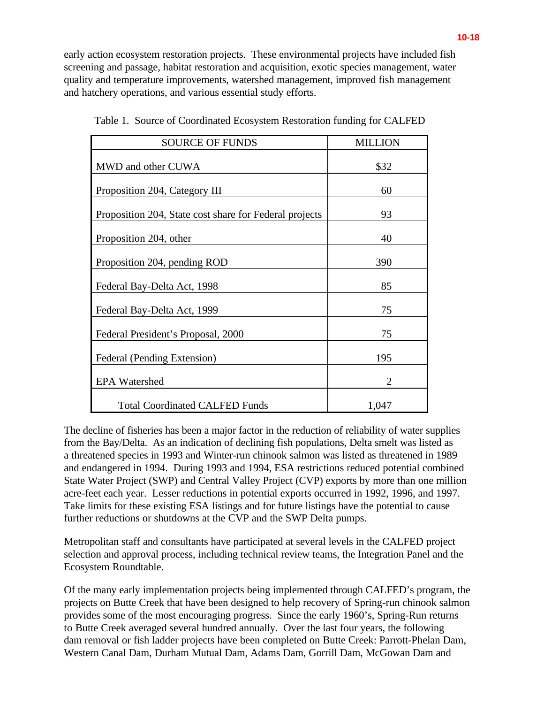early action ecosystem restoration projects. These environmental projects have included fish screening and passage, habitat restoration and acquisition, exotic species management, water quality and temperature improvements, watershed management, improved fish management and hatchery operations, and various essential study efforts.

| <b>SOURCE OF FUNDS</b>                                 | <b>MILLION</b> |
|--------------------------------------------------------|----------------|
| MWD and other CUWA                                     | \$32           |
| Proposition 204, Category III                          | 60             |
| Proposition 204, State cost share for Federal projects | 93             |
| Proposition 204, other                                 | 40             |
| Proposition 204, pending ROD                           | 390            |
| Federal Bay-Delta Act, 1998                            | 85             |
| Federal Bay-Delta Act, 1999                            | 75             |
| Federal President's Proposal, 2000                     | 75             |
| Federal (Pending Extension)                            | 195            |
| <b>EPA Watershed</b>                                   | 2              |
| <b>Total Coordinated CALFED Funds</b>                  | 1,047          |

Table 1. Source of Coordinated Ecosystem Restoration funding for CALFED

The decline of fisheries has been a major factor in the reduction of reliability of water supplies from the Bay/Delta. As an indication of declining fish populations, Delta smelt was listed as a threatened species in 1993 and Winter-run chinook salmon was listed as threatened in 1989 and endangered in 1994. During 1993 and 1994, ESA restrictions reduced potential combined State Water Project (SWP) and Central Valley Project (CVP) exports by more than one million acre-feet each year. Lesser reductions in potential exports occurred in 1992, 1996, and 1997. Take limits for these existing ESA listings and for future listings have the potential to cause further reductions or shutdowns at the CVP and the SWP Delta pumps.

Metropolitan staff and consultants have participated at several levels in the CALFED project selection and approval process, including technical review teams, the Integration Panel and the Ecosystem Roundtable.

Of the many early implementation projects being implemented through CALFED's program, the projects on Butte Creek that have been designed to help recovery of Spring-run chinook salmon provides some of the most encouraging progress. Since the early 1960's, Spring-Run returns to Butte Creek averaged several hundred annually. Over the last four years, the following dam removal or fish ladder projects have been completed on Butte Creek: Parrott-Phelan Dam, Western Canal Dam, Durham Mutual Dam, Adams Dam, Gorrill Dam, McGowan Dam and